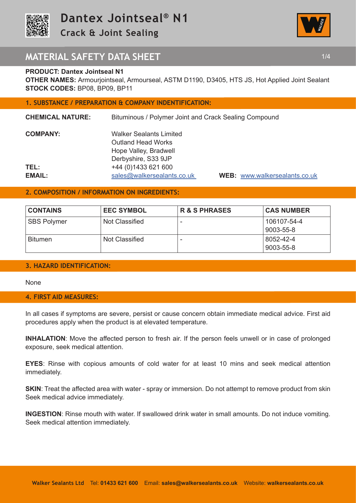

**Crack & Joint Sealing** 



# **MATERIAL SAFETY DATA SHEET 1/4 1/4**

## **PRODUCT: Dantex Jointseal N1**

**OTHER NAMES:** Armourjointseal, Armourseal, ASTM D1190, D3405, HTS JS, Hot Applied Joint Sealant **STOCK CODES:** BP08, BP09, BP11

# **1. SUBSTANCE / PREPARATION & COMPANY INDENTIFICATION:**

| <b>Walker Sealants Limited</b> |                                                       |
|--------------------------------|-------------------------------------------------------|
| <b>Outland Head Works</b>      |                                                       |
| Hope Valley, Bradwell          |                                                       |
| Derbyshire, S33 9JP            |                                                       |
| +44 (0) 1433 621 600           |                                                       |
| sales@walkersealants.co.uk     | <b>WEB: www.walkerso</b>                              |
|                                | Bituminous / Polymer Joint and Crack Sealing Compound |

**B:** www.walkersealants.co.uk

## **2. COMPOSITION / INFORMATION ON INGREDIENTS:**

| <b>CONTAINS</b>    | <b>EEC SYMBOL</b> | <b>R &amp; S PHRASES</b> | <b>CAS NUMBER</b>        |
|--------------------|-------------------|--------------------------|--------------------------|
| <b>SBS Polymer</b> | Not Classified    | $\overline{\phantom{0}}$ | 106107-54-4<br>9003-55-8 |
| <b>Bitumen</b>     | Not Classified    | -                        | 8052-42-4<br>9003-55-8   |

## **3. HAZARD IDENTIFICATION:**

None

### **4. FIRST AID MEASURES:**

In all cases if symptoms are severe, persist or cause concern obtain immediate medical advice. First aid procedures apply when the product is at elevated temperature.

**INHALATION**: Move the affected person to fresh air. If the person feels unwell or in case of prolonged exposure, seek medical attention.

**EYES**: Rinse with copious amounts of cold water for at least 10 mins and seek medical attention immediately.

**SKIN:** Treat the affected area with water - spray or immersion. Do not attempt to remove product from skin Seek medical advice immediately.

**INGESTION**: Rinse mouth with water. If swallowed drink water in small amounts. Do not induce vomiting. Seek medical attention immediately.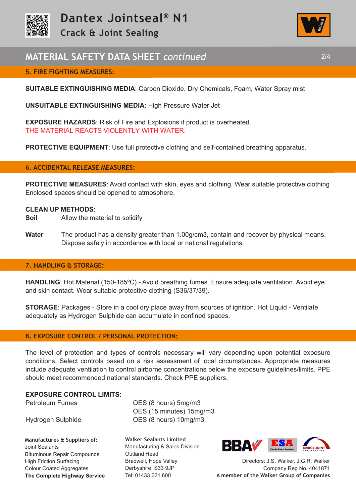

# **MATERIAL SAFETY DATA SHEET** *continued* 2/4

# **5. FIRE FIGHTING MEASURES:**

**SUITABLE EXTINGUISHING MEDIA**: Carbon Dioxide, Dry Chemicals, Foam, Water Spray mist

**UNSUITABLE EXTINGUISHING MEDIA**: High Pressure Water Jet

**EXPOSURE HAZARDS**: Risk of Fire and Explosions if product is overheated. THE MATERIAL REACTS VIOLENTLY WITH WATER.

**PROTECTIVE EQUIPMENT:** Use full protective clothing and self-contained breathing apparatus.

### **6. ACCIDENTAL RELEASE MEASURES:**

**PROTECTIVE MEASURES:** Avoid contact with skin, eyes and clothing. Wear suitable protective clothing Enclosed spaces should be opened to atmosphere.

#### **CLEAN UP METHODS**:

- **Soil** Allow the material to solidify
- **Water** The product has a density greater than 1.00g/cm3, contain and recover by physical means. Dispose safely in accordance with local or national regulations.

#### **7. HANDLING & STORAGE:**

**HANDLING**: Hot Material (150-185ºC) - Avoid breathing fumes. Ensure adequate ventilation. Avoid eye and skin contact. Wear suitable protective clothing (S36/37/39).

**STORAGE**: Packages - Store in a cool dry place away from sources of ignition. Hot Liquid - Ventilate adequately as Hydrogen Sulphide can accumulate in confined spaces.

## **8. EXPOSURE CONTROL / PERSONAL PROTECTION:**

The level of protection and types of controls necessary will vary depending upon potential exposure conditions. Select controls based on a risk assessment of local circumstances. Appropriate measures include adequate ventilation to control airborne concentrations below the exposure guidelines/limits. PPE should meet recommended national standards. Check PPE suppliers.

### **EXPOSURE CONTROL LIMITS**:

**Manufactures & Suppliers of:**  Joint Sealants Bituminous Repair Compounds High Friction Surfacing Colour Coated Aggregates **The Complete Highway Service**

Petroleum Fumes **OES** (8 hours) 5mg/m3 OES (15 minutes) 15mg/m3 Hydrogen Sulphide OES (8 hours) 10mg/m3

> **Walker Sealants Limited**  Manufacturing & Sales Division Outland Head Bradwell, Hope Valley Derbyshire, S33 9JP Tel: 01433 621 600



Directors: J.S. Walker, J.G.R. Walker Company Reg No. 4041871 **A member of the Walker Group of Companies** 

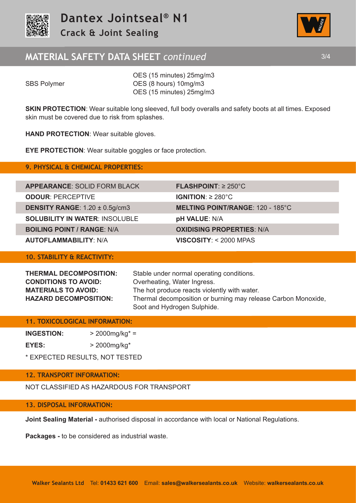

# **MATERIAL SAFETY DATA SHEET** *continued* 3/4



 OES (15 minutes) 25mg/m3 SBS Polymer **OES** (8 hours) 10mg/m3 OES (15 minutes) 25mg/m3

**SKIN PROTECTION:** Wear suitable long sleeved, full body overalls and safety boots at all times. Exposed skin must be covered due to risk from splashes.

**HAND PROTECTION**: Wear suitable gloves.

**EYE PROTECTION**: Wear suitable goggles or face protection.

## **9. PHYSICAL & CHEMICAL PROPERTIES:**

| <b>APPEARANCE: SOLID FORM BLACK</b>        | $FLASHPOINT: \geq 250^{\circ}C$       |
|--------------------------------------------|---------------------------------------|
| <b>ODOUR: PERCEPTIVE</b>                   | <b>IGNITION:</b> $\geq 280^{\circ}$ C |
| <b>DENSITY RANGE:</b> $1.20 \pm 0.5$ g/cm3 | <b>MELTING POINT/RANGE:</b>           |
| <b>SOLUBILITY IN WATER: INSOLUBLE</b>      | <b>pH VALUE: N/A</b>                  |
| <b>BOILING POINT / RANGE: N/A</b>          | <b>OXIDISING PROPERTIES</b>           |
| <b>AUTOFI AMMARII ITY: N/A</b>             | $VISCOSITY \cdot < 2000$ MPAS         |

# **10. STABILITY & REACTIVITY:**

**CONDITIONS TO AVOID:** Overheating, Water Ingress.

**THERMAL DECOMPOSITION:** Stable under normal operating conditions. **MATERIALS TO AVOID:** The hot produce reacts violently with water. **HAZARD DECOMPOSITION:** Thermal decomposition or burning may release Carbon Monoxide, Soot and Hydrogen Sulphide.

**MELTING POINT/RANGE: 120 - 185°C** 

**BOXIDISING PROPERTIES: N/A** 

**FLASHPOINT: ≥ 250°C** 

# **11. TOXICOLOGICAL INFORMATION:**

**INGESTION:** > 2000mg/kg\* =

**EYES:** > 2000mg/kg\*

\* EXPECTED RESULTS, NOT TESTED

# **12. TRANSPORT INFORMATION:**

NOT CLASSIFIED AS HAZARDOUS FOR TRANSPORT

### **13. DISPOSAL INFORMATION:**

**Joint Sealing Material -** authorised disposal in accordance with local or National Regulations.

**Packages -** to be considered as industrial waste.